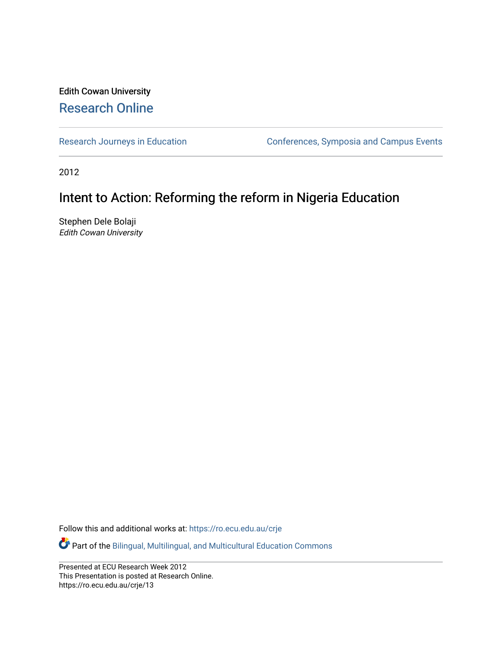#### Edith Cowan University [Research Online](https://ro.ecu.edu.au/)

[Research Journeys in Education](https://ro.ecu.edu.au/crje) **Conferences**, Symposia and Campus Events

2012

#### Intent to Action: Reforming the reform in Nigeria Education

Stephen Dele Bolaji Edith Cowan University

Follow this and additional works at: [https://ro.ecu.edu.au/crje](https://ro.ecu.edu.au/crje?utm_source=ro.ecu.edu.au%2Fcrje%2F13&utm_medium=PDF&utm_campaign=PDFCoverPages) 

Part of the [Bilingual, Multilingual, and Multicultural Education Commons](http://network.bepress.com/hgg/discipline/785?utm_source=ro.ecu.edu.au%2Fcrje%2F13&utm_medium=PDF&utm_campaign=PDFCoverPages) 

Presented at ECU Research Week 2012 This Presentation is posted at Research Online. https://ro.ecu.edu.au/crje/13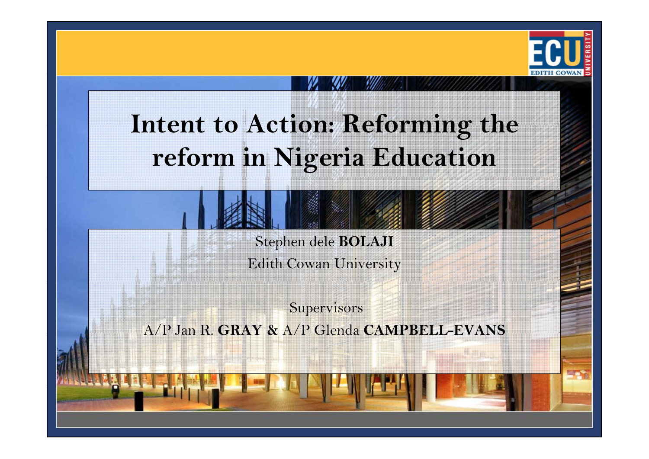

# **Intent to Action:/Reforming the reform in Nigeria Education**

Stephen dele **BOLAJI**

Edith Cowan University

**Supervisors** A/P Jan R R. **GRAY &** A/P Glenda **CAMPBELL -EVANS**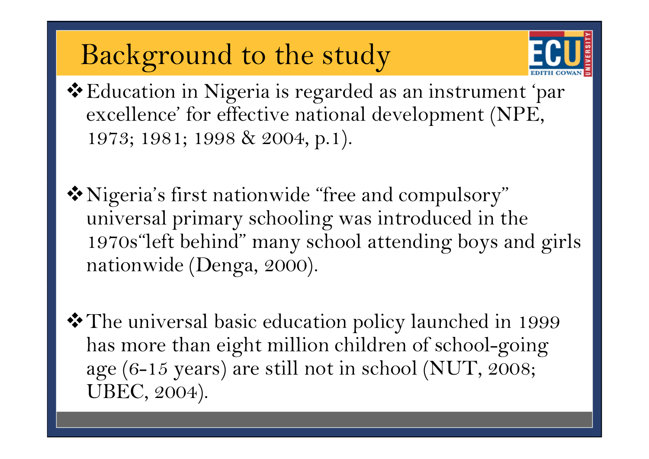## Background to the study



Education in Nigeria is regarded as an instrument 'par excellence' for effective national development (NPE, 1973; 1981; 1998 & 2004, p.1).

Nigeria's first nationwide "free and compulsory" universal primary schooling was introduced in the 1970s"left behind" many school attending boys and girls nationwide (Denga, 2000).

❖ The universal basic education policy launched in 1999 has more than eight million children of school-going age (6-15 years) are still not in school (NUT, 2008; UBEC, 2004).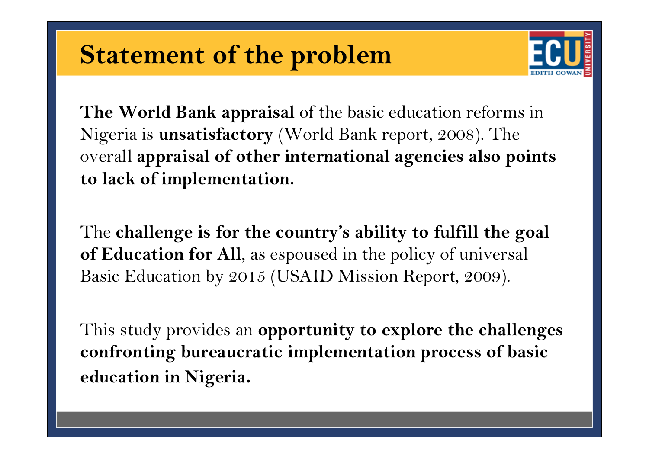### **Statement of the problem**



**The World Bank appraisal** of the basic education reforms in Nigeria is **unsatisfactory** (World Bank report, 2008). The overall **appraisal of other international agencies also points to lack of implementation implementation.**

The challenge is for the country's ability to fulfill the goal **of Education for All**, as espoused in the policy of universal Basic Education by 2015 (USAID Mission Report, 2009).

This study provides an **opportunity to explore the challenges confronting bureaucratic implementation process of basic education in Ni geria.**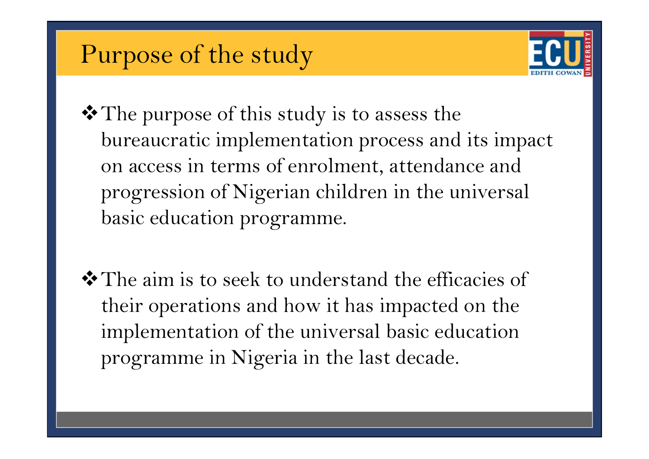### Purpose of the study



- ❖ The purpose of this study is to assess the bureaucratic implementation process and its impact on access in terms of enrolment, attendance and progression of Nigerian children in the universal basic education programme.
- The aim is to seek to understand the efficacies of their operations and how it has impacted on the implementation of the universal basic education programme in Nigeria in the last decade.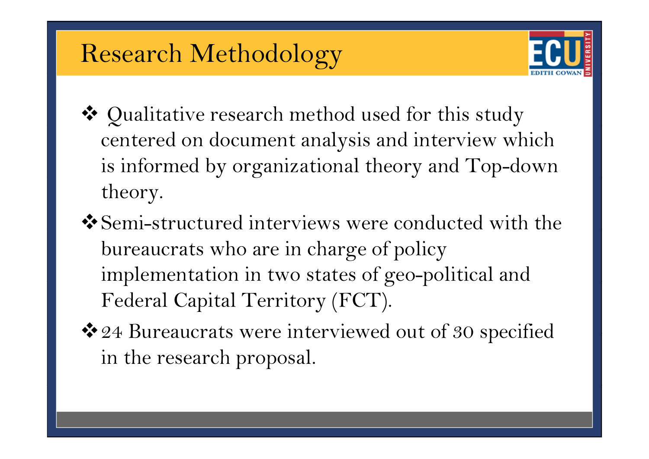### Research Methodology



- ◆ Qualitative research method used for this study centered on document analysis and interview which is informed by organizational theory and Top-downtheory.
- Semi -structured interviews were conducted with the bureaucrats who are in charge of policy implementation in two states of geo-political and Federal Capital Territory (FCT).
- ◆ 24 Bureaucrats were interviewed out of 30 specified in the research proposal.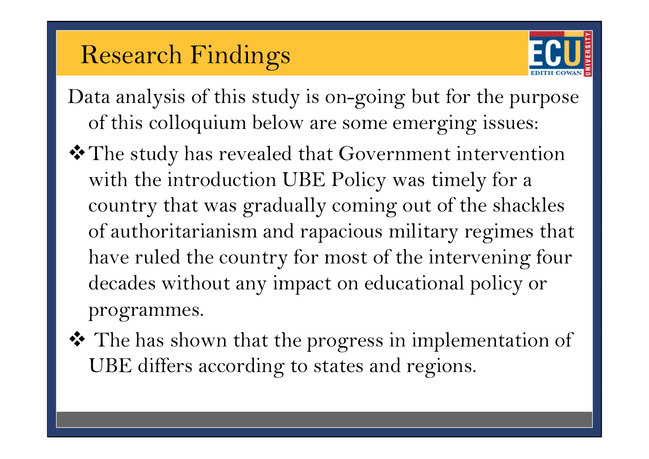### Research Findings



- Data analysis of this study is on-going but for the purpose of this colloquium below are some emerging issues:
- The study has revealed that Government intervention with the introduction UBE Policy was timely for a country that was gradually coming out of the shackles of authoritarianism and rapacious military regimes that have ruled the country for most of the intervening four decades without any impact on educational policy or programmes.
- ❖ The has shown that the progress in implementation of UBE differs according to states and regions.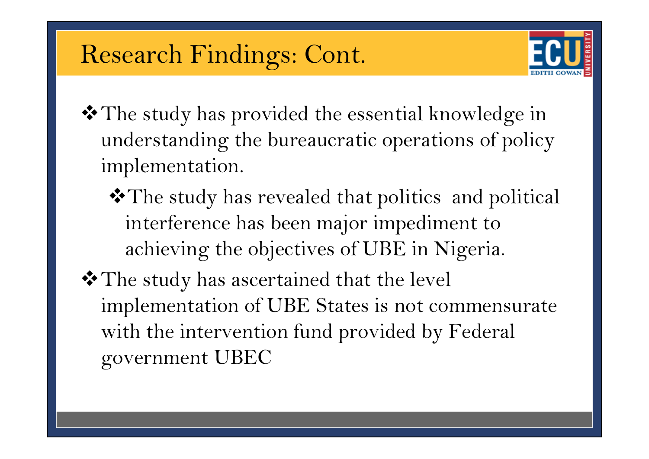#### Research Findings: Cont.



- ❖ The study has provided the essential knowledge in understanding the bureaucratic operations of policy im plementation.
	- The study has revealed that politics and political interference has been major impediment to achieving the objectives of UBE in Nigeria.
- The study has ascertained that the level implementation of UBE States is not commensurate with the intervention fund provided by Federal government UBEC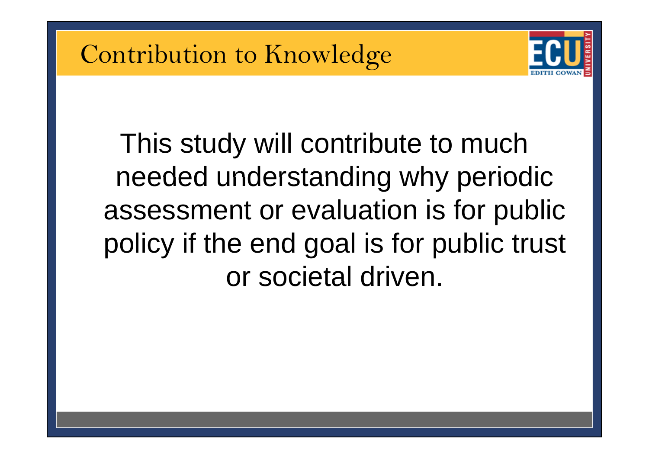

This study will contribute to much needed understanding why periodic assessment or evaluation is for public policy if the end goal is for public trust or societal driven.